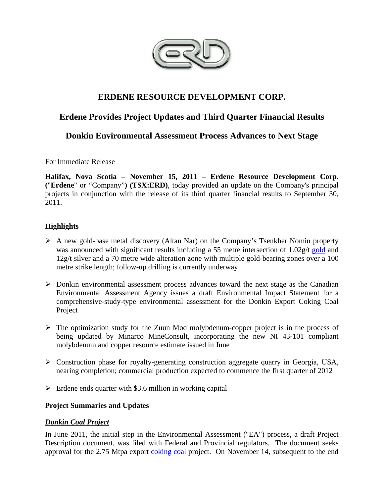

# **ERDENE RESOURCE DEVELOPMENT CORP.**

# **Erdene Provides Project Updates and Third Quarter Financial Results**

# **Donkin Environmental Assessment Process Advances to Next Stage**

For Immediate Release

**Halifax, Nova Scotia – November 15, 2011 – Erdene Resource Development Corp. (**"**Erdene**" or "Company"**) (TSX:ERD)**, today provided an update on the Company's principal projects in conjunction with the release of its third quarter financial results to September 30, 2011.

# **Highlights**

- $\triangleright$  A new gold-base metal discovery (Altan Nar) on the Company's Tsenkher Nomin property was announced with significant results including a 55 metre intersection of 1.02g/t gold and 12g/t silver and a 70 metre wide alteration zone with multiple gold-bearing zones over a 100 metre strike length; follow-up drilling is currently underway
- $\triangleright$  Donkin environmental assessment process advances toward the next stage as the Canadian Environmental Assessment Agency issues a draft Environmental Impact Statement for a comprehensive-study-type environmental assessment for the Donkin Export Coking Coal Project
- $\triangleright$  The optimization study for the Zuun Mod molybdenum-copper project is in the process of being updated by Minarco MineConsult, incorporating the new NI 43-101 compliant molybdenum and copper resource estimate issued in June
- Construction phase for royalty-generating construction aggregate quarry in Georgia, USA, nearing completion; commercial production expected to commence the first quarter of 2012
- $\triangleright$  Erdene ends quarter with \$3.6 million in working capital

# **Project Summaries and Updates**

# *Donkin Coal Project*

In June 2011, the initial step in the Environmental Assessment ("EA") process, a draft Project Description document, was filed with Federal and Provincial regulators. The document seeks approval for the 2.75 Mtpa export coking coal project. On November 14, subsequent to the end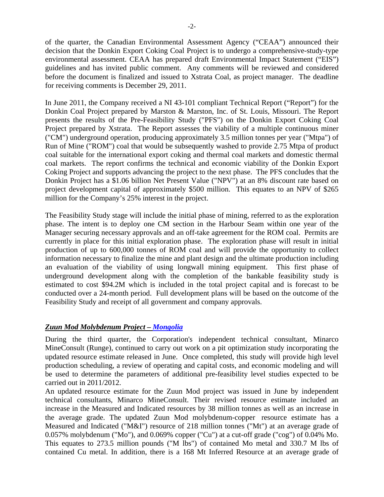of the quarter, the Canadian Environmental Assessment Agency ("CEAA") announced their decision that the Donkin Export Coking Coal Project is to undergo a comprehensive-study-type environmental assessment. CEAA has prepared draft Environmental Impact Statement ("EIS") guidelines and has invited public comment. Any comments will be reviewed and considered before the document is finalized and issued to Xstrata Coal, as project manager. The deadline for receiving comments is December 29, 2011.

In June 2011, the Company received a NI 43-101 compliant Technical Report ("Report") for the Donkin Coal Project prepared by Marston & Marston, Inc. of St. Louis, Missouri. The Report presents the results of the Pre-Feasibility Study ("PFS") on the Donkin Export Coking Coal Project prepared by Xstrata. The Report assesses the viability of a multiple continuous miner ("CM") underground operation, producing approximately 3.5 million tonnes per year ("Mtpa") of Run of Mine ("ROM") coal that would be subsequently washed to provide 2.75 Mtpa of product coal suitable for the international export coking and thermal coal markets and domestic thermal coal markets. The report confirms the technical and economic viability of the Donkin Export Coking Project and supports advancing the project to the next phase. The PFS concludes that the Donkin Project has a \$1.06 billion Net Present Value ("NPV") at an 8% discount rate based on project development capital of approximately \$500 million. This equates to an NPV of \$265 million for the Company's 25% interest in the project.

The Feasibility Study stage will include the initial phase of mining, referred to as the exploration phase. The intent is to deploy one CM section in the Harbour Seam within one year of the Manager securing necessary approvals and an off-take agreement for the ROM coal. Permits are currently in place for this initial exploration phase. The exploration phase will result in initial production of up to 600,000 tonnes of ROM coal and will provide the opportunity to collect information necessary to finalize the mine and plant design and the ultimate production including an evaluation of the viability of using longwall mining equipment. This first phase of underground development along with the completion of the bankable feasibility study is estimated to cost \$94.2M which is included in the total project capital and is forecast to be conducted over a 24-month period. Full development plans will be based on the outcome of the Feasibility Study and receipt of all government and company approvals.

#### *Zuun Mod Molybdenum Project – Mongolia*

During the third quarter, the Corporation's independent technical consultant, Minarco MineConsult (Runge), continued to carry out work on a pit optimization study incorporating the updated resource estimate released in June. Once completed, this study will provide high level production scheduling, a review of operating and capital costs, and economic modeling and will be used to determine the parameters of additional pre-feasibility level studies expected to be carried out in 2011/2012.

An updated resource estimate for the Zuun Mod project was issued in June by independent technical consultants, Minarco MineConsult. Their revised resource estimate included an increase in the Measured and Indicated resources by 38 million tonnes as well as an increase in the average grade. The updated Zuun Mod molybdenum-copper resource estimate has a Measured and Indicated ("M&I") resource of 218 million tonnes ("Mt") at an average grade of 0.057% molybdenum ("Mo"), and 0.069% copper ("Cu") at a cut-off grade ("cog") of 0.04% Mo. This equates to 273.5 million pounds ("M lbs") of contained Mo metal and 330.7 M lbs of contained Cu metal. In addition, there is a 168 Mt Inferred Resource at an average grade of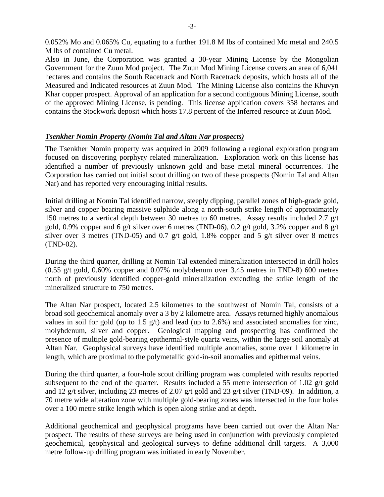0.052% Mo and 0.065% Cu, equating to a further 191.8 M lbs of contained Mo metal and 240.5 M lbs of contained Cu metal.

Also in June, the Corporation was granted a 30-year Mining License by the Mongolian Government for the Zuun Mod project. The Zuun Mod Mining License covers an area of 6,041 hectares and contains the South Racetrack and North Racetrack deposits, which hosts all of the Measured and Indicated resources at Zuun Mod. The Mining License also contains the Khuvyn Khar copper prospect. Approval of an application for a second contiguous Mining License, south of the approved Mining License, is pending. This license application covers 358 hectares and contains the Stockwork deposit which hosts 17.8 percent of the Inferred resource at Zuun Mod.

# *Tsenkher Nomin Property (Nomin Tal and Altan Nar prospects)*

The Tsenkher Nomin property was acquired in 2009 following a regional exploration program focused on discovering porphyry related mineralization. Exploration work on this license has identified a number of previously unknown gold and base metal mineral occurrences. The Corporation has carried out initial scout drilling on two of these prospects (Nomin Tal and Altan Nar) and has reported very encouraging initial results.

Initial drilling at Nomin Tal identified narrow, steeply dipping, parallel zones of high-grade gold, silver and copper bearing massive sulphide along a north-south strike length of approximately 150 metres to a vertical depth between 30 metres to 60 metres. Assay results included 2.7 g/t gold, 0.9% copper and 6 g/t silver over 6 metres (TND-06), 0.2 g/t gold, 3.2% copper and 8 g/t silver over 3 metres (TND-05) and 0.7 g/t gold, 1.8% copper and 5 g/t silver over 8 metres (TND-02).

During the third quarter, drilling at Nomin Tal extended mineralization intersected in drill holes (0.55 g/t gold, 0.60% copper and 0.07% molybdenum over 3.45 metres in TND-8) 600 metres north of previously identified copper-gold mineralization extending the strike length of the mineralized structure to 750 metres.

The Altan Nar prospect, located 2.5 kilometres to the southwest of Nomin Tal, consists of a broad soil geochemical anomaly over a 3 by 2 kilometre area. Assays returned highly anomalous values in soil for gold (up to 1.5 g/t) and lead (up to 2.6%) and associated anomalies for zinc, molybdenum, silver and copper. Geological mapping and prospecting has confirmed the presence of multiple gold-bearing epithermal-style quartz veins, within the large soil anomaly at Altan Nar. Geophysical surveys have identified multiple anomalies, some over 1 kilometre in length, which are proximal to the polymetallic gold-in-soil anomalies and epithermal veins.

During the third quarter, a four-hole scout drilling program was completed with results reported subsequent to the end of the quarter. Results included a 55 metre intersection of 1.02 g/t gold and 12 g/t silver, including 23 metres of 2.07 g/t gold and 23 g/t silver (TND-09). In addition, a 70 metre wide alteration zone with multiple gold-bearing zones was intersected in the four holes over a 100 metre strike length which is open along strike and at depth.

Additional geochemical and geophysical programs have been carried out over the Altan Nar prospect. The results of these surveys are being used in conjunction with previously completed geochemical, geophysical and geological surveys to define additional drill targets. A 3,000 metre follow-up drilling program was initiated in early November.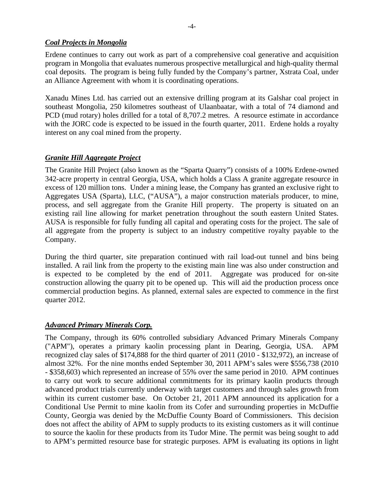### *Coal Projects in Mongolia*

Erdene continues to carry out work as part of a comprehensive coal generative and acquisition program in Mongolia that evaluates numerous prospective metallurgical and high-quality thermal coal deposits. The program is being fully funded by the Company's partner, Xstrata Coal, under an Alliance Agreement with whom it is coordinating operations.

Xanadu Mines Ltd. has carried out an extensive drilling program at its Galshar coal project in southeast Mongolia, 250 kilometres southeast of Ulaanbaatar, with a total of 74 diamond and PCD (mud rotary) holes drilled for a total of 8,707.2 metres. A resource estimate in accordance with the JORC code is expected to be issued in the fourth quarter, 2011. Erdene holds a royalty interest on any coal mined from the property.

# *Granite Hill Aggregate Project*

The Granite Hill Project (also known as the "Sparta Quarry") consists of a 100% Erdene-owned 342-acre property in central Georgia, USA, which holds a Class A granite aggregate resource in excess of 120 million tons. Under a mining lease, the Company has granted an exclusive right to Aggregates USA (Sparta), LLC, ("AUSA"), a major construction materials producer, to mine, process, and sell aggregate from the Granite Hill property. The property is situated on an existing rail line allowing for market penetration throughout the south eastern United States. AUSA is responsible for fully funding all capital and operating costs for the project. The sale of all aggregate from the property is subject to an industry competitive royalty payable to the Company.

During the third quarter, site preparation continued with rail load-out tunnel and bins being installed. A rail link from the property to the existing main line was also under construction and is expected to be completed by the end of 2011. Aggregate was produced for on-site construction allowing the quarry pit to be opened up. This will aid the production process once commercial production begins. As planned, external sales are expected to commence in the first quarter 2012.

#### *Advanced Primary Minerals Corp.*

The Company, through its 60% controlled subsidiary Advanced Primary Minerals Company ("APM"), operates a primary kaolin processing plant in Dearing, Georgia, USA. APM recognized clay sales of \$174,888 for the third quarter of 2011 (2010 - \$132,972), an increase of almost 32%. For the nine months ended September 30, 2011 APM's sales were \$556,738 (2010 - \$358,603) which represented an increase of 55% over the same period in 2010. APM continues to carry out work to secure additional commitments for its primary kaolin products through advanced product trials currently underway with target customers and through sales growth from within its current customer base. On October 21, 2011 APM announced its application for a Conditional Use Permit to mine kaolin from its Cofer and surrounding properties in McDuffie County, Georgia was denied by the McDuffie County Board of Commissioners. This decision does not affect the ability of APM to supply products to its existing customers as it will continue to source the kaolin for these products from its Tudor Mine. The permit was being sought to add to APM's permitted resource base for strategic purposes. APM is evaluating its options in light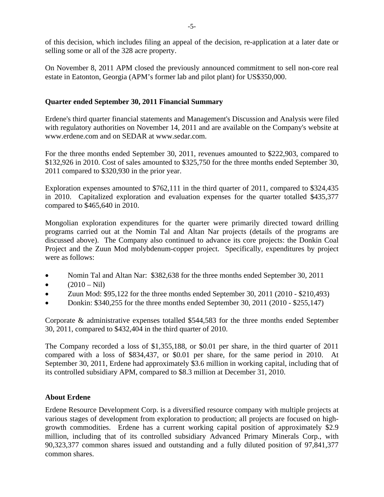of this decision, which includes filing an appeal of the decision, re-application at a later date or selling some or all of the 328 acre property.

On November 8, 2011 APM closed the previously announced commitment to sell non-core real estate in Eatonton, Georgia (APM's former lab and pilot plant) for US\$350,000.

### **Quarter ended September 30, 2011 Financial Summary**

Erdene's third quarter financial statements and Management's Discussion and Analysis were filed with regulatory authorities on November 14, 2011 and are available on the Company's website at www.erdene.com and on SEDAR at www.sedar.com.

For the three months ended September 30, 2011, revenues amounted to \$222,903, compared to \$132,926 in 2010. Cost of sales amounted to \$325,750 for the three months ended September 30, 2011 compared to \$320,930 in the prior year.

Exploration expenses amounted to \$762,111 in the third quarter of 2011, compared to \$324,435 in 2010. Capitalized exploration and evaluation expenses for the quarter totalled \$435,377 compared to \$465,640 in 2010.

Mongolian exploration expenditures for the quarter were primarily directed toward drilling programs carried out at the Nomin Tal and Altan Nar projects (details of the programs are discussed above). The Company also continued to advance its core projects: the Donkin Coal Project and the Zuun Mod molybdenum-copper project. Specifically, expenditures by project were as follows:

- Nomin Tal and Altan Nar: \$382,638 for the three months ended September 30, 2011
- $(2010 Nil)$
- Zuun Mod: \$95,122 for the three months ended September 30, 2011 (2010 \$210,493)
- Donkin:  $$340,255$  for the three months ended September 30, 2011 (2010  $$255,147$ )

Corporate & administrative expenses totalled \$544,583 for the three months ended September 30, 2011, compared to \$432,404 in the third quarter of 2010.

The Company recorded a loss of \$1,355,188, or \$0.01 per share, in the third quarter of 2011 compared with a loss of \$834,437, or \$0.01 per share, for the same period in 2010. At September 30, 2011, Erdene had approximately \$3.6 million in working capital, including that of its controlled subsidiary APM, compared to \$8.3 million at December 31, 2010.

#### **About Erdene**

Erdene Resource Development Corp. is a diversified resource company with multiple projects at various stages of development from exploration to production; all projects are focused on highgrowth commodities. Erdene has a current working capital position of approximately \$2.9 million, including that of its controlled subsidiary Advanced Primary Minerals Corp., with 90,323,377 common shares issued and outstanding and a fully diluted position of 97,841,377 common shares.